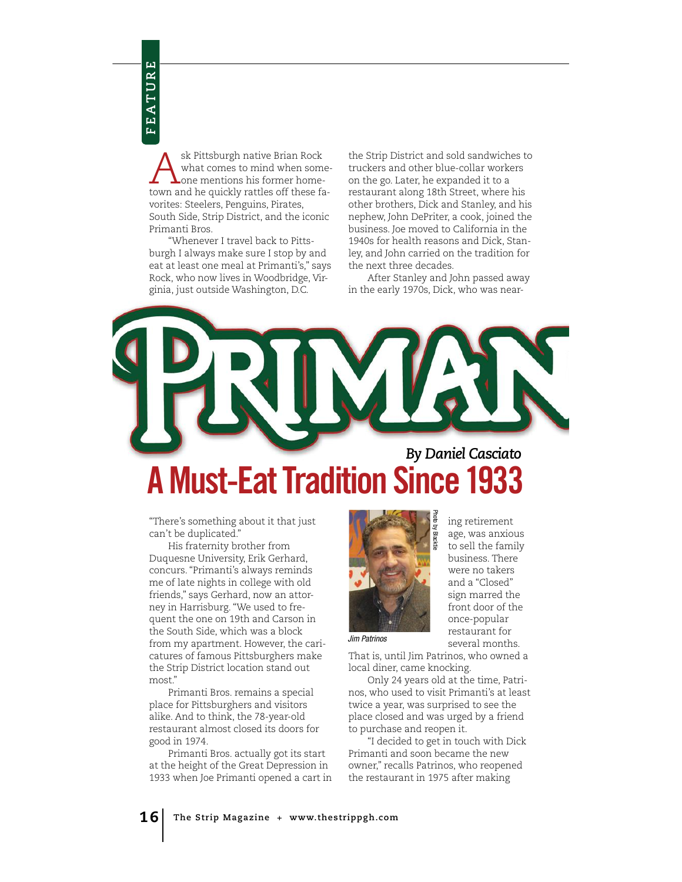Ask Pittsburgh native Brian Rock<br>what comes to mind when some<br>town and he quickly rattles off these for what comes to mind when sometown and he quickly rattles off these favorites: Steelers, Penguins, Pirates, South Side, Strip District, and the iconic Primanti Bros.

"Whenever I travel back to Pittsburgh I always make sure I stop by and eat at least one meal at Primanti's," says Rock, who now lives in Woodbridge, Virginia, just outside Washington, D.C.

the Strip District and sold sandwiches to truckers and other blue-collar workers on the go. Later, he expanded it to a restaurant along 18th Street, where his other brothers, Dick and Stanley, and his nephew, John DePriter, a cook, joined the business. Joe moved to California in the 1940s for health reasons and Dick, Stanley, and John carried on the tradition for the next three decades.

After Stanley and John passed away in the early 1970s, Dick, who was near-

## *By Daniel Casciato*

## **A Must-Eat Tradition Since**

"There's something about it that just can't be duplicated."

His fraternity brother from Duquesne University, Erik Gerhard, concurs. "Primanti's always reminds me of late nights in college with old friends," says Gerhard, now an attorney in Harrisburg. "We used to frequent the one on 19th and Carson in the South Side, which was a block from my apartment. However, the caricatures of famous Pittsburghers make the Strip District location stand out most."

Primanti Bros. remains a special place for Pittsburghers and visitors alike. And to think, the 78-year-old restaurant almost closed its doors for good in 1974.

Primanti Bros. actually got its start at the height of the Great Depression in 1933 when Joe Primanti opened a cart in



ing retirement age, was anxious to sell the family business. There were no takers and a "Closed" sign marred the front door of the once-popular restaurant for several months.

Jim Patrinos

That is, until Jim Patrinos, who owned a local diner, came knocking.

Only 24 years old at the time, Patrinos, who used to visit Primanti's at least twice a year, was surprised to see the place closed and was urged by a friend to purchase and reopen it.

"I decided to get in touch with Dick Primanti and soon became the new owner," recalls Patrinos, who reopened the restaurant in 1975 after making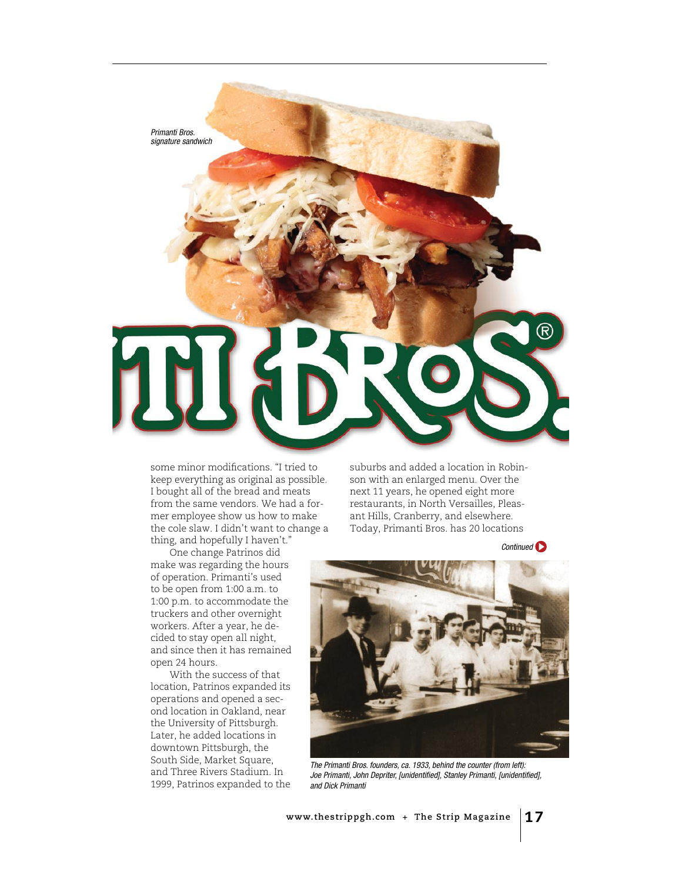

some minor modifcations. "I tried to keep everything as original as possible. I bought all of the bread and meats from the same vendors. We had a former employee show us how to make the cole slaw. I didn't want to change a thing, and hopefully I haven't."

One change Patrinos did make was regarding the hours of operation. Primanti's used to be open from 1:00 a.m. to 1:00 p.m. to accommodate the truckers and other overnight workers. After a year, he decided to stay open all night, and since then it has remained open 24 hours.

With the success of that location, Patrinos expanded its operations and opened a second location in Oakland, near the University of Pittsburgh. Later, he added locations in downtown Pittsburgh, the South Side, Market Square, and Three Rivers Stadium. In 1999, Patrinos expanded to the suburbs and added a location in Robinson with an enlarged menu. Over the next 11 years, he opened eight more restaurants, in North Versailles, Pleasant Hills, Cranberry, and elsewhere. Today, Primanti Bros. has 20 locations

Continued<sup>1</sup>



The Primanti Bros. founders, ca. 1933, behind the counter (from left): Joe Primanti, John Depriter, [unidentified], Stanley Primanti, [unidentified], and Dick Primanti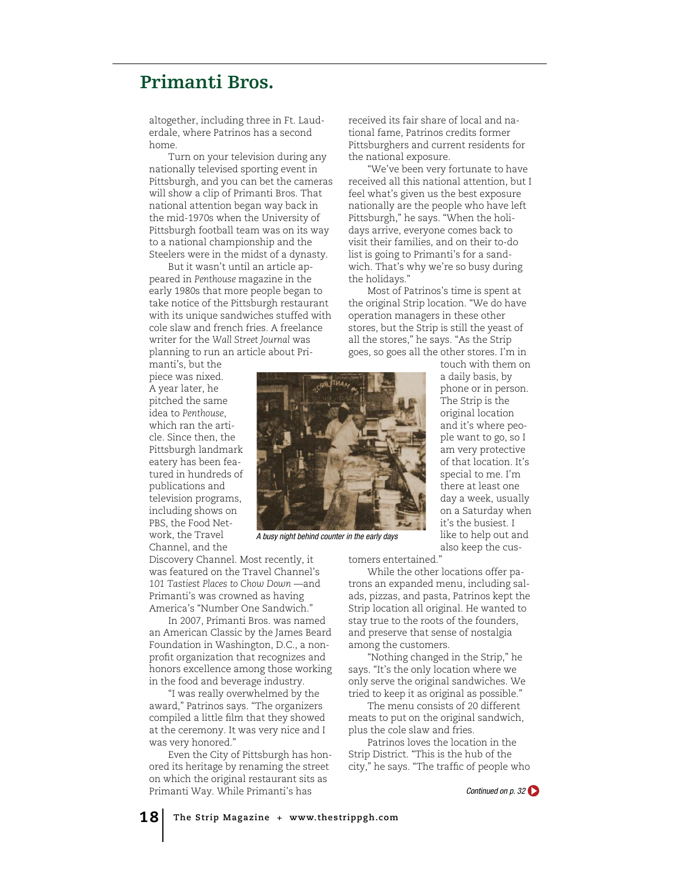## **Primanti Bros.**

altogether, including three in Ft. Lauderdale, where Patrinos has a second home.

Turn on your television during any nationally televised sporting event in Pittsburgh, and you can bet the cameras will show a clip of Primanti Bros. That national attention began way back in the mid-1970s when the University of Pittsburgh football team was on its way to a national championship and the Steelers were in the midst of a dynasty.

But it wasn't until an article appeared in *Penthouse* magazine in the early 1980s that more people began to take notice of the Pittsburgh restaurant with its unique sandwiches stuffed with cole slaw and french fries. A freelance writer for the *Wall Street Journal* was planning to run an article about Pri-

manti's, but the piece was nixed. A year later, he pitched the same idea to *Penthouse*, which ran the article. Since then, the Pittsburgh landmark eatery has been featured in hundreds of publications and television programs, including shows on PBS, the Food Network, the Travel Channel, and the

Discovery Channel. Most recently, it was featured on the Travel Channel's *101 Tastiest Places to Chow Down* —and Primanti's was crowned as having America's "Number One Sandwich."

In 2007, Primanti Bros. was named an American Classic by the James Beard Foundation in Washington, D.C., a nonproft organization that recognizes and honors excellence among those working in the food and beverage industry.

"I was really overwhelmed by the award," Patrinos says. "The organizers compiled a little flm that they showed at the ceremony. It was very nice and I was very honored."

Even the City of Pittsburgh has honored its heritage by renaming the street on which the original restaurant sits as Primanti Way. While Primanti's has

received its fair share of local and national fame, Patrinos credits former Pittsburghers and current residents for the national exposure.

"We've been very fortunate to have received all this national attention, but I feel what's given us the best exposure nationally are the people who have left Pittsburgh," he says. "When the holidays arrive, everyone comes back to visit their families, and on their to-do list is going to Primanti's for a sandwich. That's why we're so busy during the holidays."

Most of Patrinos's time is spent at the original Strip location. "We do have operation managers in these other stores, but the Strip is still the yeast of all the stores," he says. "As the Strip goes, so goes all the other stores. I'm in touch with them on

> a daily basis, by phone or in person. The Strip is the original location and it's where people want to go, so I am very protective of that location. It's special to me. I'm there at least one day a week, usually on a Saturday when it's the busiest. I like to help out and also keep the cus-



A busy night behind counter in the early days

tomers entertained."

While the other locations offer patrons an expanded menu, including salads, pizzas, and pasta, Patrinos kept the Strip location all original. He wanted to stay true to the roots of the founders, and preserve that sense of nostalgia among the customers.

"Nothing changed in the Strip," he says. "It's the only location where we only serve the original sandwiches. We tried to keep it as original as possible."

The menu consists of 20 different meats to put on the original sandwich, plus the cole slaw and fries.

Patrinos loves the location in the Strip District. "This is the hub of the city," he says. "The traffc of people who

Continued on p. 32